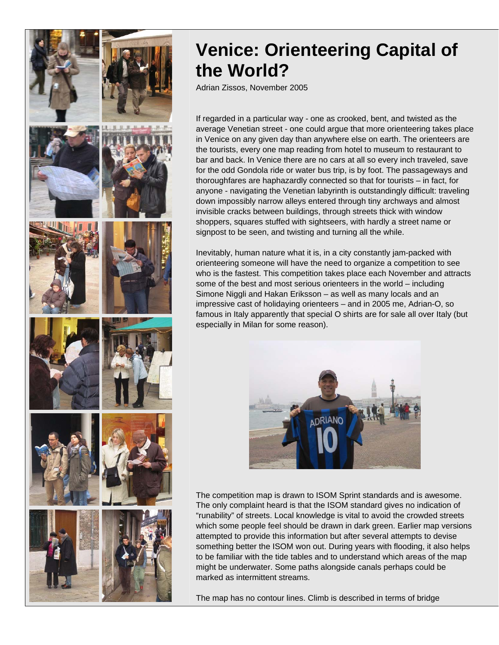

## **Venice: Orienteering Capital of the World?**

Adrian Zissos, November 2005

If regarded in a particular way - one as crooked, bent, and twisted as the average Venetian street - one could argue that more orienteering takes place in Venice on any given day than anywhere else on earth. The orienteers are the tourists, every one map reading from hotel to museum to restaurant to bar and back. In Venice there are no cars at all so every inch traveled, save for the odd Gondola ride or water bus trip, is by foot. The passageways and thoroughfares are haphazardly connected so that for tourists – in fact, for anyone - navigating the Venetian labyrinth is outstandingly difficult: traveling down impossibly narrow alleys entered through tiny archways and almost invisible cracks between buildings, through streets thick with window shoppers, squares stuffed with sightseers, with hardly a street name or signpost to be seen, and twisting and turning all the while.

Inevitably, human nature what it is, in a city constantly jam-packed with orienteering someone will have the need to organize a competition to see who is the fastest. This competition takes place each November and attracts some of the best and most serious orienteers in the world - including Simone Niggli and Hakan Eriksson – as well as many locals and an impressive cast of holidaying orienteers – and in 2005 me, Adrian-O, so famous in Italy apparently that special O shirts are for sale all over Italy (but especially in Milan for some reason).



The competition map is drawn to ISOM Sprint standards and is awesome. The only complaint heard is that the ISOM standard gives no indication of "runability" of streets. Local knowledge is vital to avoid the crowded streets which some people feel should be drawn in dark green. Earlier map versions attempted to provide this information but after several attempts to devise something better the ISOM won out. During years with flooding, it also helps to be familiar with the tide tables and to understand which areas of the map might be underwater. Some paths alongside canals perhaps could be marked as intermittent streams.

The map has no contour lines. Climb is described in terms of bridge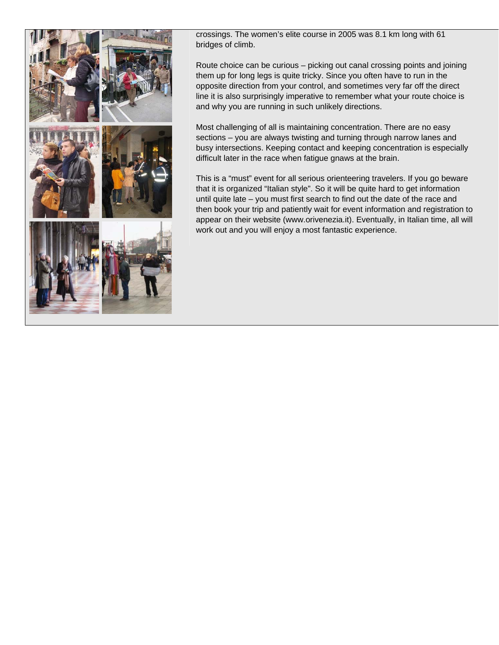

crossings. The women's elite course in 2005 was 8.1 km long with 61 bridges of climb.

Route choice can be curious – picking out canal crossing points and joining them up for long legs is quite tricky. Since you often have to run in the opposite direction from your control, and sometimes very far off the direct line it is also surprisingly imperative to remember what your route choice is and why you are running in such unlikely directions.

Most challenging of all is maintaining concentration. There are no easy sections – you are always twisting and turning through narrow lanes and busy intersections. Keeping contact and keeping concentration is especially difficult later in the race when fatigue gnaws at the brain.

This is a "must" event for all serious orienteering travelers. If you go beware that it is organized "Italian style". So it will be quite hard to get information until quite late – you must first search to find out the date of the race and then book your trip and patiently wait for event information and registration to appear on their website (www.orivenezia.it). Eventually, in Italian time, all will work out and you will enjoy a most fantastic experience.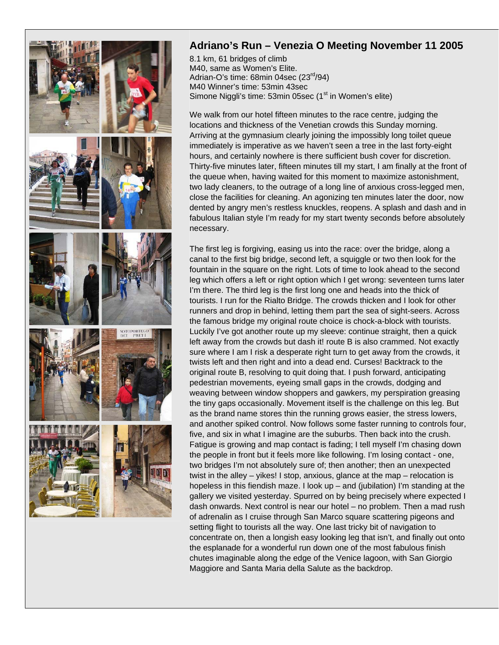

## **Adriano's Run – Venezia O Meeting November 11 2005**

8.1 km, 61 bridges of climb M40, same as Women's Elite. Adrian-O's time:  $68$ min 04sec  $(23^{rd}/94)$ M40 Winner's time: 53min 43sec Simone Niggli's time:  $53$ min 05sec ( $1<sup>st</sup>$  in Women's elite)

We walk from our hotel fifteen minutes to the race centre, judging the locations and thickness of the Venetian crowds this Sunday morning. Arriving at the gymnasium clearly joining the impossibly long toilet queue immediately is imperative as we haven't seen a tree in the last forty-eight hours, and certainly nowhere is there sufficient bush cover for discretion. Thirty-five minutes later, fifteen minutes till my start, I am finally at the front of the queue when, having waited for this moment to maximize astonishment, two lady cleaners, to the outrage of a long line of anxious cross-legged men, close the facilities for cleaning. An agonizing ten minutes later the door, now dented by angry men's restless knuckles, reopens. A splash and dash and in fabulous Italian style I'm ready for my start twenty seconds before absolutely necessary.

The first leg is forgiving, easing us into the race: over the bridge, along a canal to the first big bridge, second left, a squiggle or two then look for the fountain in the square on the right. Lots of time to look ahead to the second leg which offers a left or right option which I get wrong: seventeen turns later I'm there. The third leg is the first long one and heads into the thick of tourists. I run for the Rialto Bridge. The crowds thicken and I look for other runners and drop in behind, letting them part the sea of sight-seers. Across the famous bridge my original route choice is chock-a-block with tourists. Luckily I've got another route up my sleeve: continue straight, then a quick left away from the crowds but dash it! route B is also crammed. Not exactly sure where I am I risk a desperate right turn to get away from the crowds, it twists left and then right and into a dead end. Curses! Backtrack to the original route B, resolving to quit doing that. I push forward, anticipating pedestrian movements, eyeing small gaps in the crowds, dodging and weaving between window shoppers and gawkers, my perspiration greasing the tiny gaps occasionally. Movement itself is the challenge on this leg. But as the brand name stores thin the running grows easier, the stress lowers, and another spiked control. Now follows some faster running to controls four, five, and six in what I imagine are the suburbs. Then back into the crush. Fatigue is growing and map contact is fading; I tell myself I'm chasing down the people in front but it feels more like following. I'm losing contact - one, two bridges I'm not absolutely sure of; then another; then an unexpected twist in the alley – yikes! I stop, anxious, glance at the map – relocation is hopeless in this fiendish maze. I look up – and (jubilation) I'm standing at the gallery we visited yesterday. Spurred on by being precisely where expected I dash onwards. Next control is near our hotel – no problem. Then a mad rush of adrenalin as I cruise through San Marco square scattering pigeons and setting flight to tourists all the way. One last tricky bit of navigation to concentrate on, then a longish easy looking leg that isn't, and finally out onto the esplanade for a wonderful run down one of the most fabulous finish chutes imaginable along the edge of the Venice lagoon, with San Giorgio Maggiore and Santa Maria della Salute as the backdrop.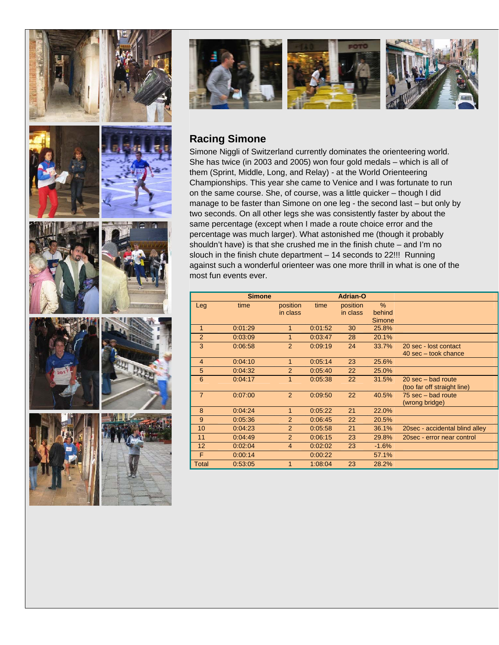



## **Racing Simone**

Simone Niggli of Switzerland currently dominates the orienteering world. She has twice (in 2003 and 2005) won four gold medals – which is all of them (Sprint, Middle, Long, and Relay) - at the World Orienteering Championships. This year she came to Venice and I was fortunate to run on the same course. She, of course, was a little quicker – though I did manage to be faster than Simone on one leg - the second last – but only by two seconds. On all other legs she was consistently faster by about the same percentage (except when I made a route choice error and the percentage was much larger). What astonished me (though it probably shouldn't have) is that she crushed me in the finish chute – and I'm no slouch in the finish chute department – 14 seconds to 22!!! Running against such a wonderful orienteer was one more thrill in what is one of the most fun events ever.

|                | <b>Simone</b> |                |         | <b>Adrian-O</b> |         |                                       |
|----------------|---------------|----------------|---------|-----------------|---------|---------------------------------------|
| Leg            | time          | position       | time    | position        | $\%$    |                                       |
|                |               | in class       |         | in class        | behind  |                                       |
|                |               |                |         |                 | Simone  |                                       |
| $\mathbf{1}$   | 0:01:29       | 1              | 0:01:52 | 30              | 25.8%   |                                       |
| $\overline{2}$ | 0:03:09       | 1              | 0:03:47 | 28              | 20.1%   |                                       |
| 3              | 0:06:58       | $\overline{2}$ | 0:09:19 | 24              | 33.7%   | 20 sec - lost contact                 |
|                |               |                |         |                 |         | $40 \text{ sec} - \text{took chance}$ |
| 4              | 0:04:10       | 1              | 0:05:14 | 23              | 25.6%   |                                       |
| 5              | 0:04:32       | 2              | 0:05:40 | 22              | 25.0%   |                                       |
| 6              | 0:04:17       | 1              | 0:05:38 | 22              | 31.5%   | $20 \text{ sec} - \text{bad route}$   |
|                |               |                |         |                 |         | (too far off straight line)           |
| $\overline{7}$ | 0:07:00       | 2              | 0:09:50 | 22              | 40.5%   | 75 sec – bad route                    |
|                |               |                |         |                 |         | (wrong bridge)                        |
| 8              | 0.04.24       | 1              | 0:05:22 | 21              | 22.0%   |                                       |
| 9              | 0:05:36       | 2              | 0:06:45 | 22              | 20.5%   |                                       |
| 10             | 0:04:23       | $\overline{2}$ | 0:05:58 | 21              | 36.1%   | 20sec - accidental blind alley        |
| 11             | 0.04.49       | $\overline{2}$ | 0:06:15 | 23              | 29.8%   | 20sec - error near control            |
| 12             | 0:02:04       | $\overline{4}$ | 0:02:02 | 23              | $-1.6%$ |                                       |
| F              | 0:00:14       |                | 0:00:22 |                 | 57.1%   |                                       |
| Total          | 0:53:05       | $\overline{1}$ | 1:08:04 | 23              | 28.2%   |                                       |